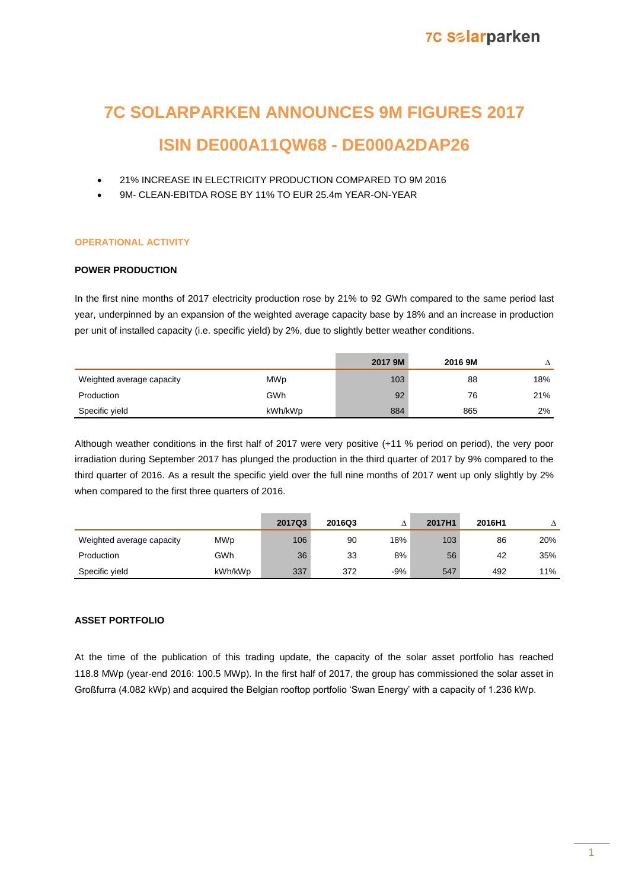# **7C SOLARPARKEN ANNOUNCES 9M FIGURES 2017**

## **ISIN DE000A11QW68 - DE000A2DAP26**

- 21% INCREASE IN ELECTRICITY PRODUCTION COMPARED TO 9M 2016
- 9M- CLEAN-EBITDA ROSE BY 11% TO EUR 25.4m YEAR-ON-YEAR

### **OPERATIONAL ACTIVITY**

### **POWER PRODUCTION**

In the first nine months of 2017 electricity production rose by 21% to 92 GWh compared to the same period last year, underpinned by an expansion of the weighted average capacity base by 18% and an increase in production per unit of installed capacity (i.e. specific yield) by 2%, due to slightly better weather conditions.

|                           |         | 2017 9M | 2016 9M |     |
|---------------------------|---------|---------|---------|-----|
| Weighted average capacity | MWp     | 103     | 88      | 18% |
| Production                | GWh     | 92      | 76      | 21% |
| Specific yield            | kWh/kWp | 884     | 865     | 2%  |

Although weather conditions in the first half of 2017 were very positive (+11 % period on period), the very poor irradiation during September 2017 has plunged the production in the third quarter of 2017 by 9% compared to the third quarter of 2016. As a result the specific yield over the full nine months of 2017 went up only slightly by 2% when compared to the first three quarters of 2016.

|                           |         | 2017Q3 | 2016Q3 |       | 2017H1 | 2016H1 |     |
|---------------------------|---------|--------|--------|-------|--------|--------|-----|
| Weighted average capacity | MWp     | 106    | 90     | 18%   | 103    | 86     | 20% |
| Production                | GWh     | 36     | 33     | 8%    | 56     | 42     | 35% |
| Specific vield            | kWh/kWp | 337    | 372    | $-9%$ | 547    | 492    | 11% |

### **ASSET PORTFOLIO**

At the time of the publication of this trading update, the capacity of the solar asset portfolio has reached 118.8 MWp (year-end 2016: 100.5 MWp). In the first half of 2017, the group has commissioned the solar asset in Großfurra (4.082 kWp) and acquired the Belgian rooftop portfolio 'Swan Energy' with a capacity of 1.236 kWp.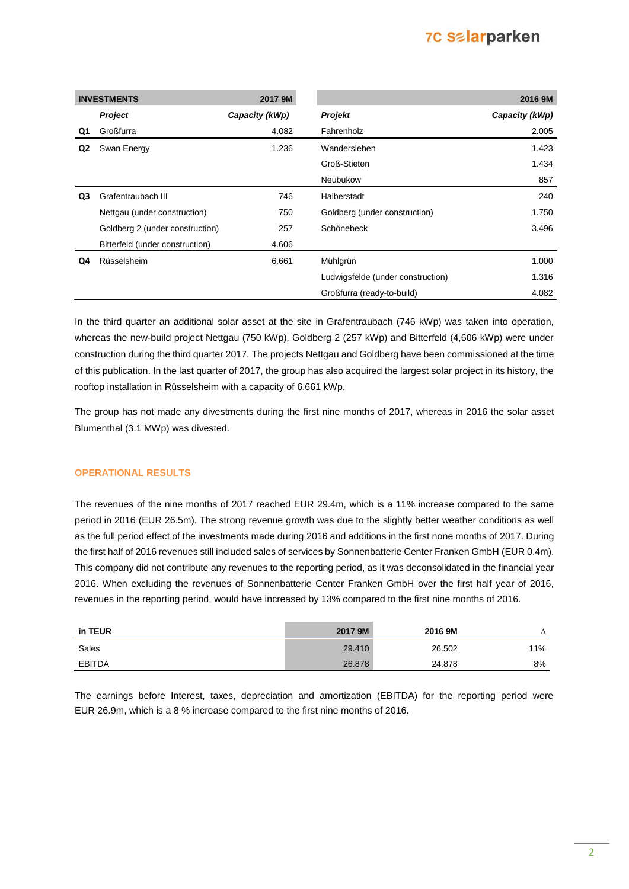## **7C Salarparken**

|    | <b>INVESTMENTS</b>              | 2017 9M        |                                   | 2016 9M        |
|----|---------------------------------|----------------|-----------------------------------|----------------|
|    | Project                         | Capacity (kWp) | <b>Projekt</b>                    | Capacity (kWp) |
| Q1 | Großfurra                       | 4.082          | Fahrenholz                        | 2.005          |
| Q2 | Swan Energy                     | 1.236          | Wandersleben                      | 1.423          |
|    |                                 |                | Groß-Stieten                      | 1.434          |
|    |                                 |                | Neubukow                          | 857            |
| Q3 | Grafentraubach III              | 746            | Halberstadt                       | 240            |
|    | Nettgau (under construction)    | 750            | Goldberg (under construction)     | 1.750          |
|    | Goldberg 2 (under construction) | 257            | Schönebeck                        | 3.496          |
|    | Bitterfeld (under construction) | 4.606          |                                   |                |
| Q4 | Rüsselsheim                     | 6.661          | Mühlgrün                          | 1.000          |
|    |                                 |                | Ludwigsfelde (under construction) | 1.316          |
|    |                                 |                | Großfurra (ready-to-build)        | 4.082          |

In the third quarter an additional solar asset at the site in Grafentraubach (746 kWp) was taken into operation, whereas the new-build project Nettgau (750 kWp), Goldberg 2 (257 kWp) and Bitterfeld (4,606 kWp) were under construction during the third quarter 2017. The projects Nettgau and Goldberg have been commissioned at the time of this publication. In the last quarter of 2017, the group has also acquired the largest solar project in its history, the rooftop installation in Rüsselsheim with a capacity of 6,661 kWp.

The group has not made any divestments during the first nine months of 2017, whereas in 2016 the solar asset Blumenthal (3.1 MWp) was divested.

### **OPERATIONAL RESULTS**

The revenues of the nine months of 2017 reached EUR 29.4m, which is a 11% increase compared to the same period in 2016 (EUR 26.5m). The strong revenue growth was due to the slightly better weather conditions as well as the full period effect of the investments made during 2016 and additions in the first none months of 2017. During the first half of 2016 revenues still included sales of services by Sonnenbatterie Center Franken GmbH (EUR 0.4m). This company did not contribute any revenues to the reporting period, as it was deconsolidated in the financial year 2016. When excluding the revenues of Sonnenbatterie Center Franken GmbH over the first half year of 2016, revenues in the reporting period, would have increased by 13% compared to the first nine months of 2016.

| in TEUR       | 2017 9M | 2016 9M | ∸   |
|---------------|---------|---------|-----|
| Sales         | 29.410  | 26.502  | 11% |
| <b>EBITDA</b> | 26.878  | 24.878  | 8%  |

The earnings before Interest, taxes, depreciation and amortization (EBITDA) for the reporting period were EUR 26.9m, which is a 8 % increase compared to the first nine months of 2016.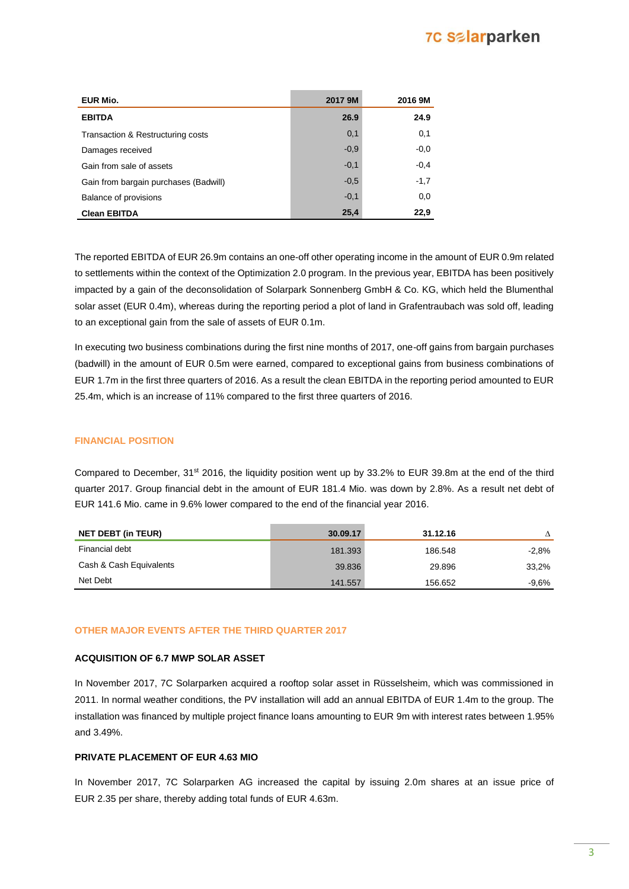## **7C Salarparken**

| EUR Mio.                              | 2017 9M | 2016 9M |
|---------------------------------------|---------|---------|
| <b>EBITDA</b>                         | 26.9    | 24.9    |
| Transaction & Restructuring costs     | 0,1     | 0,1     |
| Damages received                      | $-0.9$  | $-0,0$  |
| Gain from sale of assets              | $-0,1$  | $-0,4$  |
| Gain from bargain purchases (Badwill) | $-0.5$  | $-1,7$  |
| Balance of provisions                 | $-0,1$  | 0,0     |
| <b>Clean EBITDA</b>                   | 25,4    | 22,9    |

The reported EBITDA of EUR 26.9m contains an one-off other operating income in the amount of EUR 0.9m related to settlements within the context of the Optimization 2.0 program. In the previous year, EBITDA has been positively impacted by a gain of the deconsolidation of Solarpark Sonnenberg GmbH & Co. KG, which held the Blumenthal solar asset (EUR 0.4m), whereas during the reporting period a plot of land in Grafentraubach was sold off, leading to an exceptional gain from the sale of assets of EUR 0.1m.

In executing two business combinations during the first nine months of 2017, one-off gains from bargain purchases (badwill) in the amount of EUR 0.5m were earned, compared to exceptional gains from business combinations of EUR 1.7m in the first three quarters of 2016. As a result the clean EBITDA in the reporting period amounted to EUR 25.4m, which is an increase of 11% compared to the first three quarters of 2016.

### **FINANCIAL POSITION**

Compared to December, 31<sup>st</sup> 2016, the liquidity position went up by 33.2% to EUR 39.8m at the end of the third quarter 2017. Group financial debt in the amount of EUR 181.4 Mio. was down by 2.8%. As a result net debt of EUR 141.6 Mio. came in 9.6% lower compared to the end of the financial year 2016.

| <b>NET DEBT (in TEUR)</b> | 30.09.17 | 31.12.16 |         |
|---------------------------|----------|----------|---------|
| Financial debt            | 181.393  | 186.548  | $-2.8%$ |
| Cash & Cash Equivalents   | 39.836   | 29.896   | 33,2%   |
| Net Debt                  | 141.557  | 156.652  | $-9.6%$ |

### **OTHER MAJOR EVENTS AFTER THE THIRD QUARTER 2017**

### **ACQUISITION OF 6.7 MWP SOLAR ASSET**

In November 2017, 7C Solarparken acquired a rooftop solar asset in Rüsselsheim, which was commissioned in 2011. In normal weather conditions, the PV installation will add an annual EBITDA of EUR 1.4m to the group. The installation was financed by multiple project finance loans amounting to EUR 9m with interest rates between 1.95% and 3.49%.

### **PRIVATE PLACEMENT OF EUR 4.63 MIO**

In November 2017, 7C Solarparken AG increased the capital by issuing 2.0m shares at an issue price of EUR 2.35 per share, thereby adding total funds of EUR 4.63m.